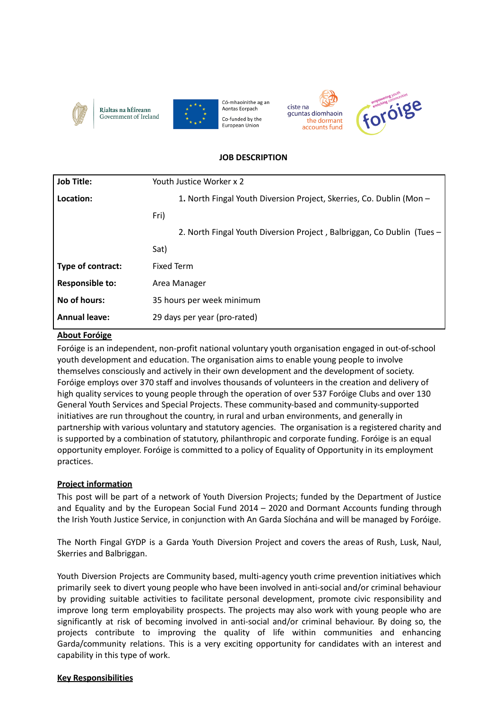

Rialtas na hÉireann Government of Ireland



Có-mhaoinithe ag an Aontas Eorpach Co-funded by the European Union





## **JOB DESCRIPTION**

| Youth Justice Worker x 2                                               |
|------------------------------------------------------------------------|
| 1. North Fingal Youth Diversion Project, Skerries, Co. Dublin (Mon -   |
| Fri)                                                                   |
| 2. North Fingal Youth Diversion Project, Balbriggan, Co Dublin (Tues - |
| Sat)                                                                   |
| <b>Fixed Term</b>                                                      |
| Area Manager                                                           |
| 35 hours per week minimum                                              |
| 29 days per year (pro-rated)                                           |
|                                                                        |

## **About Foróige**

Foróige is an independent, non-profit national voluntary youth organisation engaged in out-of-school youth development and education. The organisation aims to enable young people to involve themselves consciously and actively in their own development and the development of society. Foróige employs over 370 staff and involves thousands of volunteers in the creation and delivery of high quality services to young people through the operation of over 537 Foróige Clubs and over 130 General Youth Services and Special Projects. These community-based and community-supported initiatives are run throughout the country, in rural and urban environments, and generally in partnership with various voluntary and statutory agencies. The organisation is a registered charity and is supported by a combination of statutory, philanthropic and corporate funding. Foróige is an equal opportunity employer. Foróige is committed to a policy of Equality of Opportunity in its employment practices.

# **Project information**

This post will be part of a network of Youth Diversion Projects; funded by the Department of Justice and Equality and by the European Social Fund 2014 – 2020 and Dormant Accounts funding through the Irish Youth Justice Service, in conjunction with An Garda Síochána and will be managed by Foróige.

The North Fingal GYDP is a Garda Youth Diversion Project and covers the areas of Rush, Lusk, Naul, Skerries and Balbriggan.

Youth Diversion Projects are Community based, multi-agency youth crime prevention initiatives which primarily seek to divert young people who have been involved in anti-social and/or criminal behaviour by providing suitable activities to facilitate personal development, promote civic responsibility and improve long term employability prospects. The projects may also work with young people who are significantly at risk of becoming involved in anti-social and/or criminal behaviour. By doing so, the projects contribute to improving the quality of life within communities and enhancing Garda/community relations. This is a very exciting opportunity for candidates with an interest and capability in this type of work.

## **Key Responsibilities**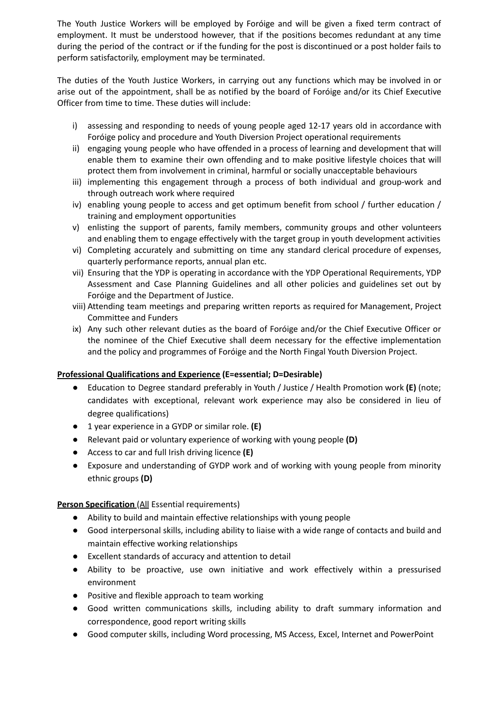The Youth Justice Workers will be employed by Foróige and will be given a fixed term contract of employment. It must be understood however, that if the positions becomes redundant at any time during the period of the contract or if the funding for the post is discontinued or a post holder fails to perform satisfactorily, employment may be terminated.

The duties of the Youth Justice Workers, in carrying out any functions which may be involved in or arise out of the appointment, shall be as notified by the board of Foróige and/or its Chief Executive Officer from time to time. These duties will include:

- i) assessing and responding to needs of young people aged 12-17 years old in accordance with Foróige policy and procedure and Youth Diversion Project operational requirements
- ii) engaging young people who have offended in a process of learning and development that will enable them to examine their own offending and to make positive lifestyle choices that will protect them from involvement in criminal, harmful or socially unacceptable behaviours
- iii) implementing this engagement through a process of both individual and group-work and through outreach work where required
- iv) enabling young people to access and get optimum benefit from school / further education / training and employment opportunities
- v) enlisting the support of parents, family members, community groups and other volunteers and enabling them to engage effectively with the target group in youth development activities
- vi) Completing accurately and submitting on time any standard clerical procedure of expenses, quarterly performance reports, annual plan etc.
- vii) Ensuring that the YDP is operating in accordance with the YDP Operational Requirements, YDP Assessment and Case Planning Guidelines and all other policies and guidelines set out by Foróige and the Department of Justice.
- viii) Attending team meetings and preparing written reports as required for Management, Project Committee and Funders
- ix) Any such other relevant duties as the board of Foróige and/or the Chief Executive Officer or the nominee of the Chief Executive shall deem necessary for the effective implementation and the policy and programmes of Foróige and the North Fingal Youth Diversion Project.

## **Professional Qualifications and Experience (E=essential; D=Desirable)**

- Education to Degree standard preferably in Youth / Justice / Health Promotion work **(E)** (note; candidates with exceptional, relevant work experience may also be considered in lieu of degree qualifications)
- 1 year experience in a GYDP or similar role. **(E)**
- Relevant paid or voluntary experience of working with young people **(D)**
- Access to car and full Irish driving licence **(E)**
- Exposure and understanding of GYDP work and of working with young people from minority ethnic groups **(D)**

## **Person Specification** (All Essential requirements)

- Ability to build and maintain effective relationships with young people
- Good interpersonal skills, including ability to liaise with a wide range of contacts and build and maintain effective working relationships
- Excellent standards of accuracy and attention to detail
- Ability to be proactive, use own initiative and work effectively within a pressurised environment
- Positive and flexible approach to team working
- Good written communications skills, including ability to draft summary information and correspondence, good report writing skills
- Good computer skills, including Word processing, MS Access, Excel, Internet and PowerPoint